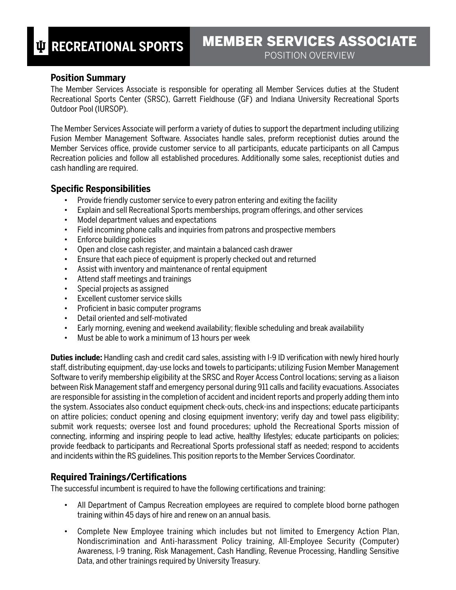#### **Position Summary**

The Member Services Associate is responsible for operating all Member Services duties at the Student Recreational Sports Center (SRSC), Garrett Fieldhouse (GF) and Indiana University Recreational Sports Outdoor Pool (IURSOP).

The Member Services Associate will perform a variety of duties to support the department including utilizing Fusion Member Management Software. Associates handle sales, preform receptionist duties around the Member Services office, provide customer service to all participants, educate participants on all Campus Recreation policies and follow all established procedures. Additionally some sales, receptionist duties and cash handling are required.

#### **Specific Responsibilities**

- Provide friendly customer service to every patron entering and exiting the facility
- Explain and sell Recreational Sports memberships, program offerings, and other services
- Model department values and expectations
- Field incoming phone calls and inquiries from patrons and prospective members
- Enforce building policies
- Open and close cash register, and maintain a balanced cash drawer
- Ensure that each piece of equipment is properly checked out and returned
- Assist with inventory and maintenance of rental equipment
- Attend staff meetings and trainings
- Special projects as assigned
- Excellent customer service skills
- Proficient in basic computer programs
- Detail oriented and self-motivated
- Early morning, evening and weekend availability; flexible scheduling and break availability
- Must be able to work a minimum of 13 hours per week

**Duties include:** Handling cash and credit card sales, assisting with I-9 ID verification with newly hired hourly staff, distributing equipment, day-use locks and towels to participants; utilizing Fusion Member Management Software to verify membership eligibility at the SRSC and Royer Access Control locations; serving as a liaison between Risk Management staff and emergency personal during 911 calls and facility evacuations. Associates are responsible for assisting in the completion of accident and incident reports and properly adding them into the system. Associates also conduct equipment check-outs, check-ins and inspections; educate participants on attire policies; conduct opening and closing equipment inventory; verify day and towel pass eligibility; submit work requests; oversee lost and found procedures; uphold the Recreational Sports mission of connecting, informing and inspiring people to lead active, healthy lifestyles; educate participants on policies; provide feedback to participants and Recreational Sports professional staff as needed; respond to accidents and incidents within the RS guidelines. This position reports to the Member Services Coordinator.

# **Required Trainings/Certifications**

The successful incumbent is required to have the following certifications and training:

- All Department of Campus Recreation employees are required to complete blood borne pathogen training within 45 days of hire and renew on an annual basis.
- Complete New Employee training which includes but not limited to Emergency Action Plan, Nondiscrimination and Anti-harassment Policy training, All-Employee Security (Computer) Awareness, I-9 traning, Risk Management, Cash Handling, Revenue Processing, Handling Sensitive Data, and other trainings required by University Treasury.